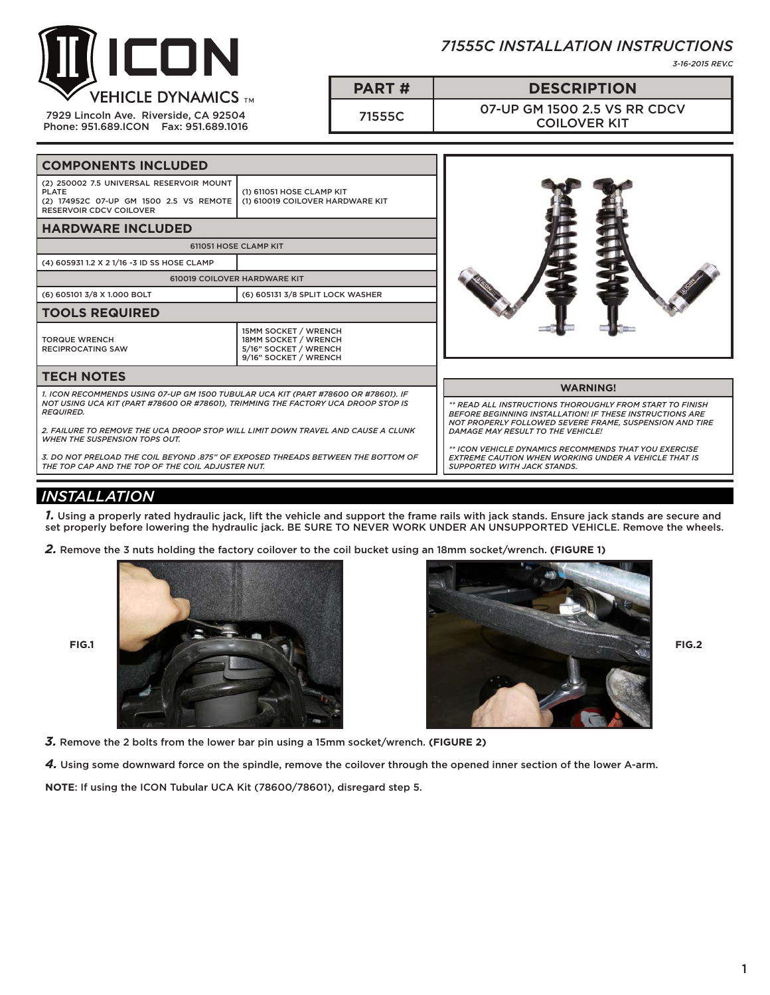

7929 Lincoln Ave. Riverside, CA 92504 Phone: 951.689.ICON Fax: 951.689.1016



*3-16-2015 REV.C*

**PART # DESCRIPTION**

71555C 07-UP GM 1500 2.5 VS RR CDCV COILOVER KIT

| <b>COMPONENTS INCLUDED</b>                                                                                                                                                                                                                                                                                                                                                                                                                                       |                                                                                                       |                                                                                                                                                                                                                                                                                                                                                                                                              |
|------------------------------------------------------------------------------------------------------------------------------------------------------------------------------------------------------------------------------------------------------------------------------------------------------------------------------------------------------------------------------------------------------------------------------------------------------------------|-------------------------------------------------------------------------------------------------------|--------------------------------------------------------------------------------------------------------------------------------------------------------------------------------------------------------------------------------------------------------------------------------------------------------------------------------------------------------------------------------------------------------------|
| (2) 250002 7.5 UNIVERSAL RESERVOIR MOUNT<br><b>PLATE</b><br>(2) 174952C 07-UP GM 1500 2.5 VS REMOTE<br><b>RESERVOIR CDCV COILOVER</b>                                                                                                                                                                                                                                                                                                                            | (1) 611051 HOSE CLAMP KIT<br>(1) 610019 COILOVER HARDWARE KIT                                         |                                                                                                                                                                                                                                                                                                                                                                                                              |
| <b>HARDWARE INCLUDED</b>                                                                                                                                                                                                                                                                                                                                                                                                                                         |                                                                                                       |                                                                                                                                                                                                                                                                                                                                                                                                              |
| 611051 HOSE CLAMP KIT                                                                                                                                                                                                                                                                                                                                                                                                                                            |                                                                                                       |                                                                                                                                                                                                                                                                                                                                                                                                              |
| (4) 605931 1.2 X 2 1/16 -3 ID SS HOSE CLAMP                                                                                                                                                                                                                                                                                                                                                                                                                      |                                                                                                       |                                                                                                                                                                                                                                                                                                                                                                                                              |
| 610019 COILOVER HARDWARE KIT                                                                                                                                                                                                                                                                                                                                                                                                                                     |                                                                                                       |                                                                                                                                                                                                                                                                                                                                                                                                              |
| (6) 605101 3/8 X 1.000 BOLT                                                                                                                                                                                                                                                                                                                                                                                                                                      | (6) 605131 3/8 SPLIT LOCK WASHER                                                                      |                                                                                                                                                                                                                                                                                                                                                                                                              |
| <b>TOOLS REQUIRED</b>                                                                                                                                                                                                                                                                                                                                                                                                                                            |                                                                                                       |                                                                                                                                                                                                                                                                                                                                                                                                              |
| <b>TORQUE WRENCH</b><br><b>RECIPROCATING SAW</b>                                                                                                                                                                                                                                                                                                                                                                                                                 | <b>15MM SOCKET / WRENCH</b><br>18MM SOCKET / WRENCH<br>5/16" SOCKET / WRENCH<br>9/16" SOCKET / WRENCH |                                                                                                                                                                                                                                                                                                                                                                                                              |
| <b>TECH NOTES</b>                                                                                                                                                                                                                                                                                                                                                                                                                                                |                                                                                                       |                                                                                                                                                                                                                                                                                                                                                                                                              |
| 1. ICON RECOMMENDS USING 07-UP GM 1500 TUBULAR UCA KIT (PART #78600 OR #78601). IF<br>NOT USING UCA KIT (PART #78600 OR #78601), TRIMMING THE FACTORY UCA DROOP STOP IS<br><b>REQUIRED.</b><br>2. FAILURE TO REMOVE THE UCA DROOP STOP WILL LIMIT DOWN TRAVEL AND CAUSE A CLUNK<br><b>WHEN THE SUSPENSION TOPS OUT.</b><br>3. DO NOT PRELOAD THE COIL BEYOND .875" OF EXPOSED THREADS BETWEEN THE BOTTOM OF<br>THE TOP CAP AND THE TOP OF THE COIL ADJUSTER NUT. |                                                                                                       | <b>WARNING!</b><br>** READ ALL INSTRUCTIONS THOROUGHLY FROM START TO FINISH<br><b>BEFORE BEGINNING INSTALLATION! IF THESE INSTRUCTIONS ARE</b><br>NOT PROPERLY FOLLOWED SEVERE FRAME. SUSPENSION AND TIRE<br>DAMAGE MAY RESULT TO THE VEHICLE!<br>** ICON VEHICLE DYNAMICS RECOMMENDS THAT YOU EXERCISE<br><b>EXTREME CAUTION WHEN WORKING UNDER A VEHICLE THAT IS</b><br><b>SUPPORTED WITH JACK STANDS.</b> |

# *INSTALLATION*

*1.* Using a properly rated hydraulic jack, lift the vehicle and support the frame rails with jack stands. Ensure jack stands are secure and set properly before lowering the hydraulic jack. BE SURE TO NEVER WORK UNDER AN UNSUPPORTED VEHICLE. Remove the wheels.

*2.* Remove the 3 nuts holding the factory coilover to the coil bucket using an 18mm socket/wrench. **(FIGURE 1)**





*3.* Remove the 2 bolts from the lower bar pin using a 15mm socket/wrench. **(FIGURE 2)**

*4.* Using some downward force on the spindle, remove the coilover through the opened inner section of the lower A-arm.

**NOTE**: If using the ICON Tubular UCA Kit (78600/78601), disregard step 5.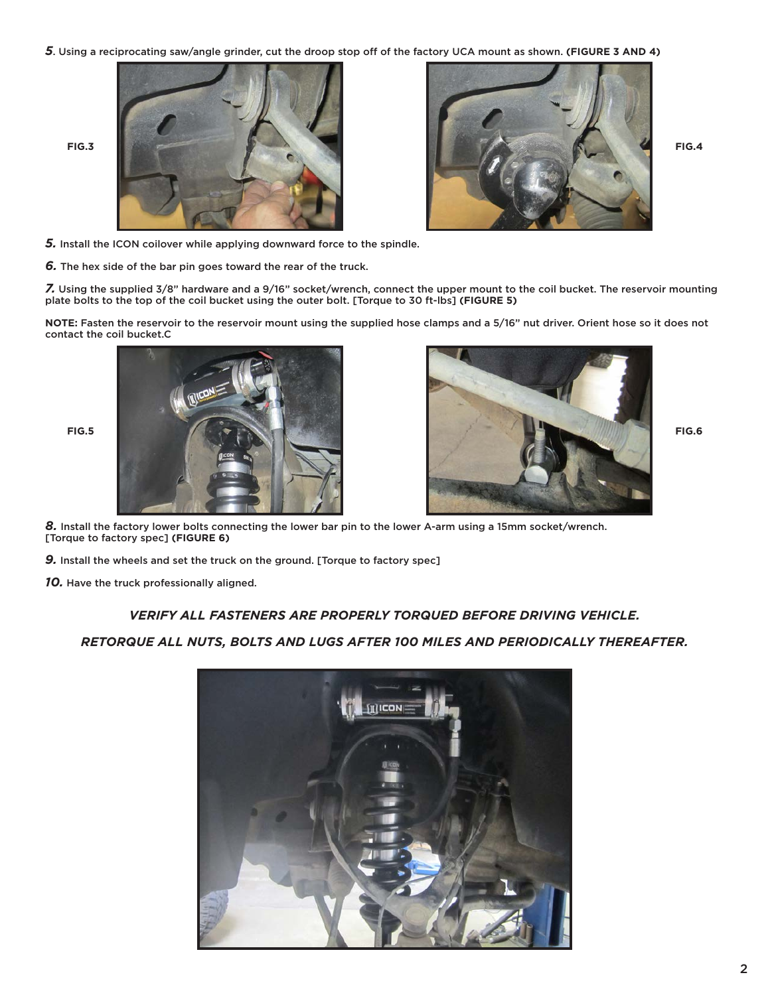*5*. Using a reciprocating saw/angle grinder, cut the droop stop off of the factory UCA mount as shown. **(FIGURE 3 AND 4)**





*5.* Install the ICON coilover while applying downward force to the spindle.

*6.* The hex side of the bar pin goes toward the rear of the truck.

*7.* Using the supplied 3/8" hardware and a 9/16" socket/wrench, connect the upper mount to the coil bucket. The reservoir mounting plate bolts to the top of the coil bucket using the outer bolt. [Torque to 30 ft-lbs] **(FIGURE 5)**

**NOTE:** Fasten the reservoir to the reservoir mount using the supplied hose clamps and a 5/16" nut driver. Orient hose so it does not contact the coil bucket.C





*8.* Install the factory lower bolts connecting the lower bar pin to the lower A-arm using a 15mm socket/wrench. [Torque to factory spec] **(FIGURE 6)**

*9.* Install the wheels and set the truck on the ground. [Torque to factory spec]

*10.* Have the truck professionally aligned.

### *VERIFY ALL FASTENERS ARE PROPERLY TORQUED BEFORE DRIVING VEHICLE.*

### *RETORQUE ALL NUTS, BOLTS AND LUGS AFTER 100 MILES AND PERIODICALLY THEREAFTER.*